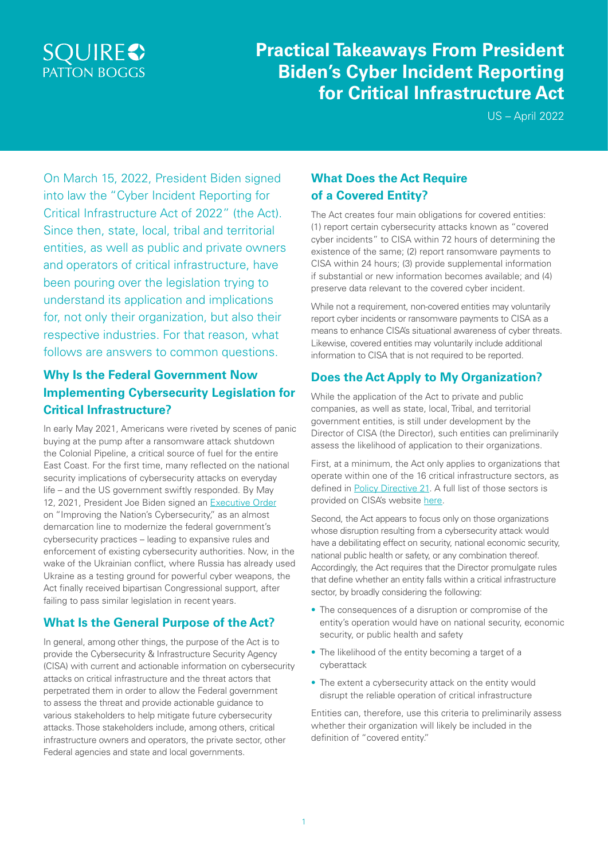# **SQUIRES PATTON BOGGS**

# **Practical Takeaways From President Biden's Cyber Incident Reporting for Critical Infrastructure Act**

US – April 2022

On March 15, 2022, President Biden signed into law the "Cyber Incident Reporting for Critical Infrastructure Act of 2022" (the Act). Since then, state, local, tribal and territorial entities, as well as public and private owners and operators of critical infrastructure, have been pouring over the legislation trying to understand its application and implications for, not only their organization, but also their respective industries. For that reason, what follows are answers to common questions.

### **Why Is the Federal Government Now Implementing Cybersecurity Legislation for Critical Infrastructure?**

In early May 2021, Americans were riveted by scenes of panic buying at the pump after a ransomware attack shutdown the Colonial Pipeline, a critical source of fuel for the entire East Coast. For the first time, many reflected on the national security implications of cybersecurity attacks on everyday life – and the US government swiftly responded. By May 12, 2021, President Joe Biden signed an [Executive Order](https://www.consumerprivacyworld.com/wp-content/uploads/sites/38/2021/05/Key-Takeaways-from-President-Biden-Cybersecurity-Exec-Order.pdf) on "Improving the Nation's Cybersecurity," as an almost demarcation line to modernize the federal government's cybersecurity practices – leading to expansive rules and enforcement of existing cybersecurity authorities. Now, in the wake of the Ukrainian conflict, where Russia has already used Ukraine as a testing ground for powerful cyber weapons, the Act finally received bipartisan Congressional support, after failing to pass similar legislation in recent vears.

### **What Is the General Purpose of the Act?**

In general, among other things, the purpose of the Act is to provide the Cybersecurity & Infrastructure Security Agency (CISA) with current and actionable information on cybersecurity attacks on critical infrastructure and the threat actors that perpetrated them in order to allow the Federal government to assess the threat and provide actionable guidance to various stakeholders to help mitigate future cybersecurity attacks. Those stakeholders include, among others, critical infrastructure owners and operators, the private sector, other Federal agencies and state and local governments.

### **What Does the Act Require of a Covered Entity?**

The Act creates four main obligations for covered entities: (1) report certain cybersecurity attacks known as "covered cyber incidents" to CISA within 72 hours of determining the existence of the same; (2) report ransomware payments to CISA within 24 hours; (3) provide supplemental information if substantial or new information becomes available; and (4) preserve data relevant to the covered cyber incident.

While not a requirement, non-covered entities may voluntarily report cyber incidents or ransomware payments to CISA as a means to enhance CISA's situational awareness of cyber threats. Likewise, covered entities may voluntarily include additional information to CISA that is not required to be reported.

#### **Does the Act Apply to My Organization?**

While the application of the Act to private and public companies, as well as state, local, Tribal, and territorial government entities, is still under development by the Director of CISA (the Director), such entities can preliminarily assess the likelihood of application to their organizations.

First, at a minimum, the Act only applies to organizations that operate within one of the 16 critical infrastructure sectors, as defined in [Policy Directive 21.](https://obamawhitehouse.archives.gov/the-press-office/2013/02/12/presidential-policy-directive-critical-infrastructure-security-and-resil) A full list of those sectors is provided on CISA's website [here](https://www.cisa.gov/critical-infrastructure-sectors).

Second, the Act appears to focus only on those organizations whose disruption resulting from a cybersecurity attack would have a debilitating effect on security, national economic security, national public health or safety, or any combination thereof. Accordingly, the Act requires that the Director promulgate rules that define whether an entity falls within a critical infrastructure sector, by broadly considering the following:

- The consequences of a disruption or compromise of the entity's operation would have on national security, economic security, or public health and safety
- The likelihood of the entity becoming a target of a cyberattack
- The extent a cybersecurity attack on the entity would disrupt the reliable operation of critical infrastructure

Entities can, therefore, use this criteria to preliminarily assess whether their organization will likely be included in the definition of "covered entity."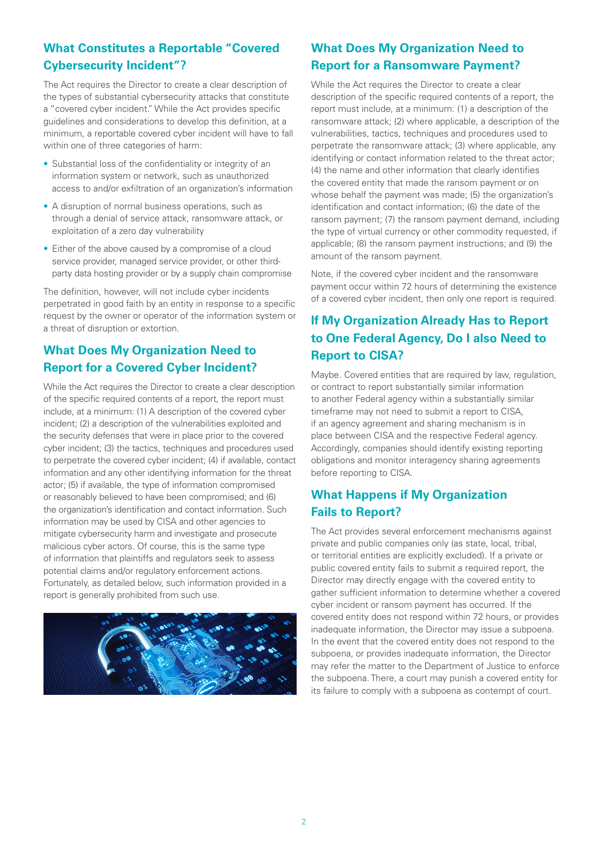### **What Constitutes a Reportable "Covered Cybersecurity Incident"?**

The Act requires the Director to create a clear description of the types of substantial cybersecurity attacks that constitute a "covered cyber incident." While the Act provides specific guidelines and considerations to develop this definition, at a minimum, a reportable covered cyber incident will have to fall within one of three categories of harm:

- Substantial loss of the confidentiality or integrity of an information system or network, such as unauthorized access to and/or exfiltration of an organization's information
- A disruption of normal business operations, such as through a denial of service attack, ransomware attack, or exploitation of a zero day vulnerability
- Either of the above caused by a compromise of a cloud service provider, managed service provider, or other thirdparty data hosting provider or by a supply chain compromise

The definition, however, will not include cyber incidents perpetrated in good faith by an entity in response to a specific request by the owner or operator of the information system or a threat of disruption or extortion.

### **What Does My Organization Need to Report for a Covered Cyber Incident?**

While the Act requires the Director to create a clear description of the specific required contents of a report, the report must include, at a minimum: (1) A description of the covered cyber incident; (2) a description of the vulnerabilities exploited and the security defenses that were in place prior to the covered cyber incident; (3) the tactics, techniques and procedures used to perpetrate the covered cyber incident; (4) if available, contact information and any other identifying information for the threat actor; (5) if available, the type of information compromised or reasonably believed to have been compromised; and (6) the organization's identification and contact information. Such information may be used by CISA and other agencies to mitigate cybersecurity harm and investigate and prosecute malicious cyber actors. Of course, this is the same type of information that plaintiffs and regulators seek to assess potential claims and/or regulatory enforcement actions. Fortunately, as detailed below, such information provided in a report is generally prohibited from such use.



## **What Does My Organization Need to Report for a Ransomware Payment?**

While the Act requires the Director to create a clear description of the specific required contents of a report, the report must include, at a minimum: (1) a description of the ransomware attack; (2) where applicable, a description of the vulnerabilities, tactics, techniques and procedures used to perpetrate the ransomware attack; (3) where applicable, any identifying or contact information related to the threat actor; (4) the name and other information that clearly identifies the covered entity that made the ransom payment or on whose behalf the payment was made; (5) the organization's identification and contact information; (6) the date of the ransom payment; (7) the ransom payment demand, including the type of virtual currency or other commodity requested, if applicable; (8) the ransom payment instructions; and (9) the amount of the ransom payment.

Note, if the covered cyber incident and the ransomware payment occur within 72 hours of determining the existence of a covered cyber incident, then only one report is required.

## **If My Organization Already Has to Report to One Federal Agency, Do I also Need to Report to CISA?**

Maybe. Covered entities that are required by law, regulation, or contract to report substantially similar information to another Federal agency within a substantially similar timeframe may not need to submit a report to CISA, if an agency agreement and sharing mechanism is in place between CISA and the respective Federal agency. Accordingly, companies should identify existing reporting obligations and monitor interagency sharing agreements before reporting to CISA.

### **What Happens if My Organization Fails to Report?**

The Act provides several enforcement mechanisms against private and public companies only (as state, local, tribal, or territorial entities are explicitly excluded). If a private or public covered entity fails to submit a required report, the Director may directly engage with the covered entity to gather sufficient information to determine whether a covered cyber incident or ransom payment has occurred. If the covered entity does not respond within 72 hours, or provides inadequate information, the Director may issue a subpoena. In the event that the covered entity does not respond to the subpoena, or provides inadequate information, the Director may refer the matter to the Department of Justice to enforce the subpoena. There, a court may punish a covered entity for its failure to comply with a subpoena as contempt of court.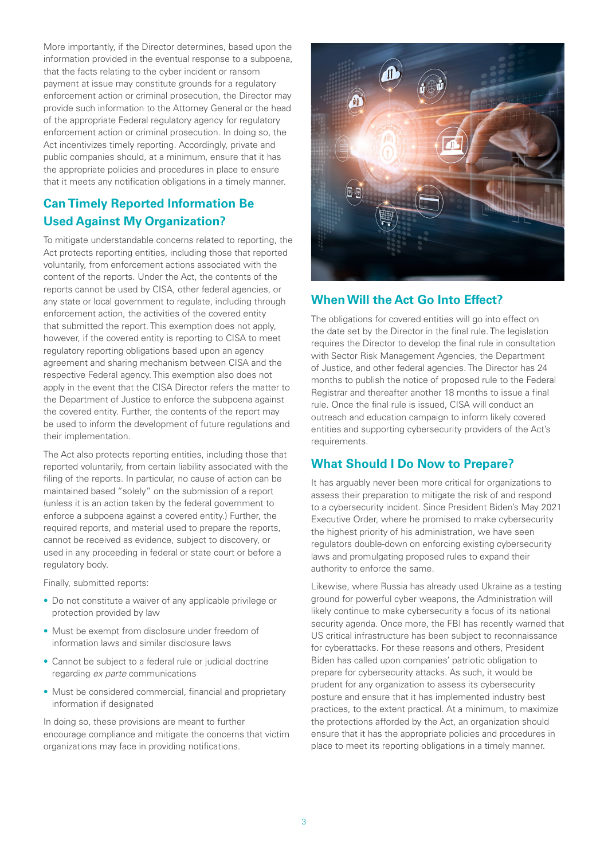More importantly, if the Director determines, based upon the information provided in the eventual response to a subpoena, that the facts relating to the cyber incident or ransom payment at issue may constitute grounds for a regulatory enforcement action or criminal prosecution, the Director may provide such information to the Attorney General or the head of the appropriate Federal regulatory agency for regulatory enforcement action or criminal prosecution. In doing so, the Act incentivizes timely reporting. Accordingly, private and public companies should, at a minimum, ensure that it has the appropriate policies and procedures in place to ensure that it meets any notification obligations in a timely manner.

#### **Can Timely Reported Information Be Used Against My Organization?**

To mitigate understandable concerns related to reporting, the Act protects reporting entities, including those that reported voluntarily, from enforcement actions associated with the content of the reports. Under the Act, the contents of the reports cannot be used by CISA, other federal agencies, or any state or local government to regulate, including through enforcement action, the activities of the covered entity that submitted the report. This exemption does not apply, however, if the covered entity is reporting to CISA to meet regulatory reporting obligations based upon an agency agreement and sharing mechanism between CISA and the respective Federal agency. This exemption also does not apply in the event that the CISA Director refers the matter to the Department of Justice to enforce the subpoena against the covered entity. Further, the contents of the report may be used to inform the development of future regulations and their implementation.

The Act also protects reporting entities, including those that reported voluntarily, from certain liability associated with the filing of the reports. In particular, no cause of action can be maintained based "solely" on the submission of a report (unless it is an action taken by the federal government to enforce a subpoena against a covered entity.) Further, the required reports, and material used to prepare the reports, cannot be received as evidence, subject to discovery, or used in any proceeding in federal or state court or before a regulatory body.

Finally, submitted reports:

- Do not constitute a waiver of any applicable privilege or protection provided by law
- Must be exempt from disclosure under freedom of information laws and similar disclosure laws
- Cannot be subject to a federal rule or judicial doctrine regarding *ex parte* communications
- Must be considered commercial, financial and proprietary information if designated

In doing so, these provisions are meant to further encourage compliance and mitigate the concerns that victim organizations may face in providing notifications.



#### **When Will the Act Go Into Effect?**

The obligations for covered entities will go into effect on the date set by the Director in the final rule. The legislation requires the Director to develop the final rule in consultation with Sector Risk Management Agencies, the Department of Justice, and other federal agencies. The Director has 24 months to publish the notice of proposed rule to the Federal Registrar and thereafter another 18 months to issue a final rule. Once the final rule is issued, CISA will conduct an outreach and education campaign to inform likely covered entities and supporting cybersecurity providers of the Act's requirements.

#### **What Should I Do Now to Prepare?**

It has arguably never been more critical for organizations to assess their preparation to mitigate the risk of and respond to a cybersecurity incident. Since President Biden's May 2021 Executive Order, where he promised to make cybersecurity the highest priority of his administration, we have seen regulators double-down on enforcing existing cybersecurity laws and promulgating proposed rules to expand their authority to enforce the same.

Likewise, where Russia has already used Ukraine as a testing ground for powerful cyber weapons, the Administration will likely continue to make cybersecurity a focus of its national security agenda. Once more, the FBI has recently warned that US critical infrastructure has been subject to reconnaissance for cyberattacks. For these reasons and others, President Biden has called upon companies' patriotic obligation to prepare for cybersecurity attacks. As such, it would be prudent for any organization to assess its cybersecurity posture and ensure that it has implemented industry best practices, to the extent practical. At a minimum, to maximize the protections afforded by the Act, an organization should ensure that it has the appropriate policies and procedures in place to meet its reporting obligations in a timely manner.